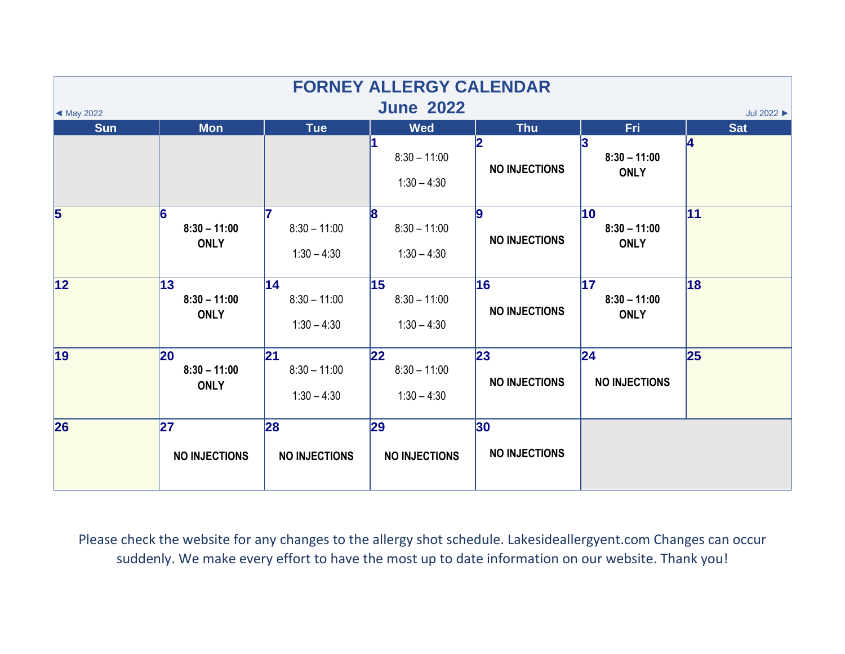| <b>FORNEY ALLERGY CALENDAR</b>                                   |                                     |                                       |                                                 |                                         |                                               |            |  |  |  |  |
|------------------------------------------------------------------|-------------------------------------|---------------------------------------|-------------------------------------------------|-----------------------------------------|-----------------------------------------------|------------|--|--|--|--|
| <b>June 2022</b><br>Jul 2022 $\blacktriangleright$<br>◀ May 2022 |                                     |                                       |                                                 |                                         |                                               |            |  |  |  |  |
| <b>Sun</b>                                                       | <b>Mon</b>                          | <b>Tue</b>                            | <b>Wed</b>                                      | <b>Thu</b>                              | <b>Fri</b>                                    | <b>Sat</b> |  |  |  |  |
|                                                                  |                                     |                                       | $8:30 - 11:00$<br>$1:30 - 4:30$                 | 12<br><b>NO INJECTIONS</b>              | $8:30 - 11:00$<br><b>ONLY</b>                 | 14         |  |  |  |  |
| $\overline{\mathbf{5}}$                                          | 6<br>$8:30 - 11:00$<br><b>ONLY</b>  | $8:30 - 11:00$<br>$1:30 - 4:30$       | $\mathbf{8}$<br>$8:30 - 11:00$<br>$1:30 - 4:30$ | 9<br><b>NO INJECTIONS</b>               | $ 10\rangle$<br>$8:30 - 11:00$<br><b>ONLY</b> | 11         |  |  |  |  |
| 12                                                               | 13<br>$8:30 - 11:00$<br><b>ONLY</b> | 14<br>$8:30 - 11:00$<br>$1:30 - 4:30$ | 15<br>$8:30 - 11:00$<br>$1:30 - 4:30$           | 16<br><b>NO INJECTIONS</b>              | 17 <br>$8:30 - 11:00$<br><b>ONLY</b>          | 18         |  |  |  |  |
| 19                                                               | 20<br>$8:30 - 11:00$<br><b>ONLY</b> | 21<br>$8:30 - 11:00$<br>$1:30 - 4:30$ | $ 22\rangle$<br>$8:30 - 11:00$<br>$1:30 - 4:30$ | 23<br><b>NO INJECTIONS</b>              | 24 <br><b>NO INJECTIONS</b>                   | 25         |  |  |  |  |
| 26                                                               | 27<br><b>NO INJECTIONS</b>          | 28<br><b>NO INJECTIONS</b>            | 29<br><b>NO INJECTIONS</b>                      | 30 <sub>o</sub><br><b>NO INJECTIONS</b> |                                               |            |  |  |  |  |

Please check the website for any changes to the allergy shot schedule. Lakesideallergyent.com Changes can occur suddenly. We make every effort to have the most up to date information on our website. Thank you!